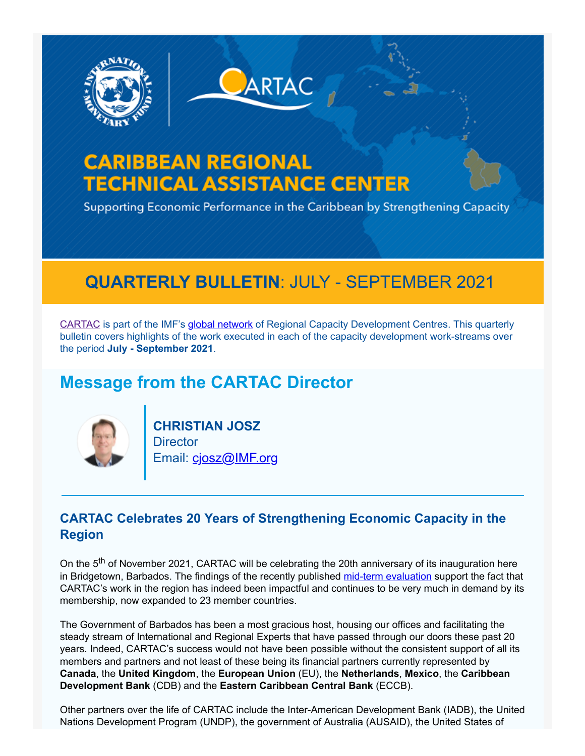



# **CARIBBEAN REGIONAL TECHNICAL ASSISTANCE CENTER**

Supporting Economic Performance in the Caribbean by Strengthening Capacity

## **QUARTERLY BULLETIN**: JULY - SEPTEMBER 2021

[CARTAC](https://www.cartac.org/) is part of the IMF's [global network](https://www.imf.org/-/media/Files/capacity-developement/Brochures/brochure-regional-capacity-development-center-april-2021.ashx) of Regional Capacity Development Centres. This quarterly bulletin covers highlights of the work executed in each of the capacity development work-streams over the period **July - September 2021**.

## **Message from the CARTAC Director**



**CHRISTIAN JOSZ Director** Email: [cjosz@IMF.org](mailto:cjosz@imf.org)

### **CARTAC Celebrates 20 Years of Strengthening Economic Capacity in the Region**

On the 5<sup>th</sup> of November 2021, CARTAC will be celebrating the 20th anniversary of its inauguration here in Bridgetown, Barbados. The findings of the recently published [mid-term evaluation](https://www.cartac.org/content/CARTAC/Home/Reports/Evaluations.html) support the fact that CARTAC's work in the region has indeed been impactful and continues to be very much in demand by its membership, now expanded to 23 member countries.

The Government of Barbados has been a most gracious host, housing our offices and facilitating the steady stream of International and Regional Experts that have passed through our doors these past 20 years. Indeed, CARTAC's success would not have been possible without the consistent support of all its members and partners and not least of these being its financial partners currently represented by **Canada**, the **United Kingdom**, the **European Union** (EU), the **Netherlands**, **Mexico**, the **Caribbean Development Bank** (CDB) and the **Eastern Caribbean Central Bank** (ECCB).

Other partners over the life of CARTAC include the Inter-American Development Bank (IADB), the United Nations Development Program (UNDP), the government of Australia (AUSAID), the United States of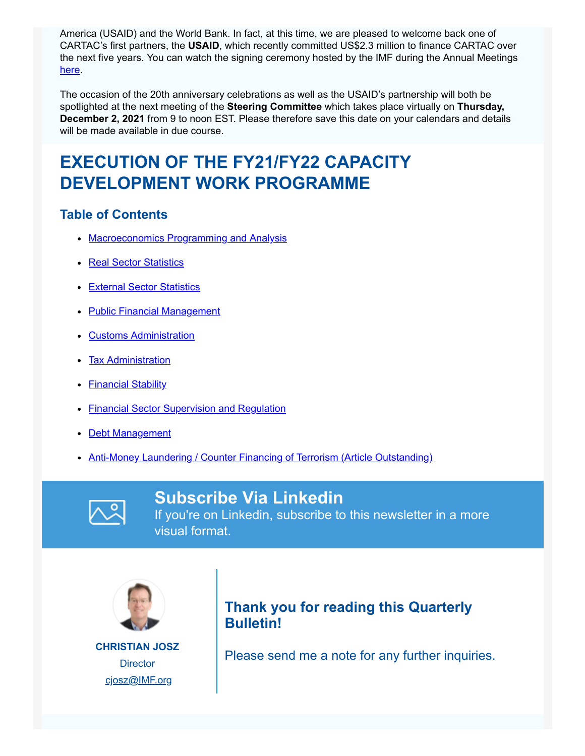America (USAID) and the World Bank. In fact, at this time, we are pleased to welcome back one of CARTAC's first partners, the **USAID**, which recently committed US\$2.3 million to finance CARTAC over the next five years. You can watch the signing ceremony hosted by the IMF during the Annual Meetings [here.](https://www.imf.org/en/Videos/view?vid=6277706149001)

The occasion of the 20th anniversary celebrations as well as the USAID's partnership will both be spotlighted at the next meeting of the **Steering Committee** which takes place virtually on **Thursday, December 2, 2021** from 9 to noon EST. Please therefore save this date on your calendars and details will be made available in due course.

# **EXECUTION OF THE FY21/FY22 CAPACITY DEVELOPMENT WORK PROGRAMME**

#### **Table of Contents**

- [Macroeconomics Programming and Analysis](https://custom.cvent.com/49696820ADE54E53A4E8AE95054F8677/files/c6f62cd3e0ed43e9a6d863c3c0fc13a0.pdf#page=1)
- [Real Sector Statistics](https://custom.cvent.com/49696820ADE54E53A4E8AE95054F8677/files/c6f62cd3e0ed43e9a6d863c3c0fc13a0.pdf#page=2)
- **[External Sector Statistics](https://custom.cvent.com/49696820ADE54E53A4E8AE95054F8677/files/c6f62cd3e0ed43e9a6d863c3c0fc13a0.pdf#page=4)**
- [Public Financial Management](https://custom.cvent.com/49696820ADE54E53A4E8AE95054F8677/files/c6f62cd3e0ed43e9a6d863c3c0fc13a0.pdf#page=6)
- **[Customs Administration](https://custom.cvent.com/49696820ADE54E53A4E8AE95054F8677/files/c6f62cd3e0ed43e9a6d863c3c0fc13a0.pdf#page=8)**
- [Tax Administration](https://custom.cvent.com/49696820ADE54E53A4E8AE95054F8677/files/c6f62cd3e0ed43e9a6d863c3c0fc13a0.pdf#page=9)
- [Financial Stability](https://custom.cvent.com/49696820ADE54E53A4E8AE95054F8677/files/c6f62cd3e0ed43e9a6d863c3c0fc13a0.pdf#page=12)
- **[Financial Sector Supervision and Regulation](https://custom.cvent.com/49696820ADE54E53A4E8AE95054F8677/files/c6f62cd3e0ed43e9a6d863c3c0fc13a0.pdf#page=13)**
- [Debt Management](https://custom.cvent.com/49696820ADE54E53A4E8AE95054F8677/files/c6f62cd3e0ed43e9a6d863c3c0fc13a0.pdf#page=14)
- [Anti-Money Laundering / Counter Financing of Terrorism \(Article Outstanding\)](https://custom.cvent.com/49696820ADE54E53A4E8AE95054F8677/files/c6f62cd3e0ed43e9a6d863c3c0fc13a0.pdf#page=15)



#### **Subscribe Via Linkedin**

If you're on Linkedin, subscribe to this newsletter in a more visual format.



**CHRISTIAN JOSZ Director** [cjosz@IMF.org](mailto:cjosz@imf.org)

### **Thank you for reading this Quarterly Bulletin!**

[Please send me a note](mailto:lsquires@imf.org) for any further inquiries.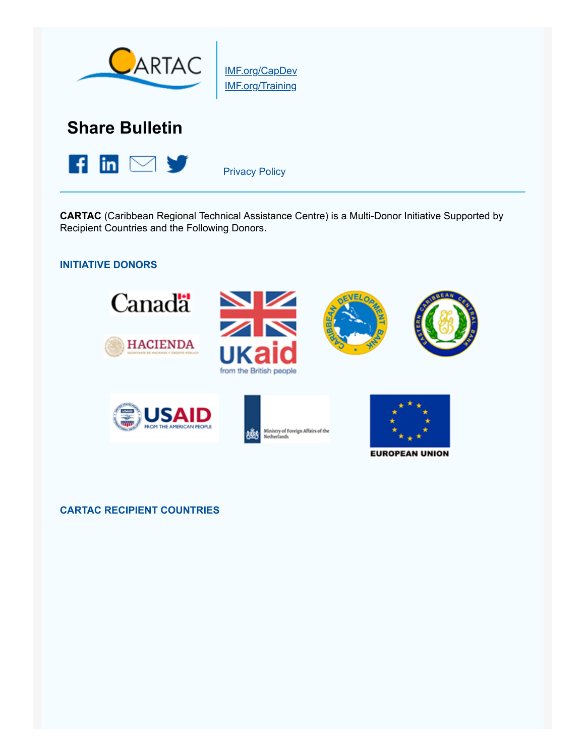

[IMF.org/CapDev](https://www.cvent.com/pub/eMarketing/Pages/IMF.org/CapDev) [IMF.org/Training](https://www.cvent.com/pub/eMarketing/Pages/IMF.org/Training)

### **Share Bulletin**



[Privacy Policy](https://www.imf.org/external/privacy.htm)

**CARTAC** (Caribbean Regional Technical Assistance Centre) is a Multi-Donor Initiative Supported by Recipient Countries and the Following Donors.

#### **INITIATIVE DONORS**



#### **CARTAC RECIPIENT COUNTRIES**